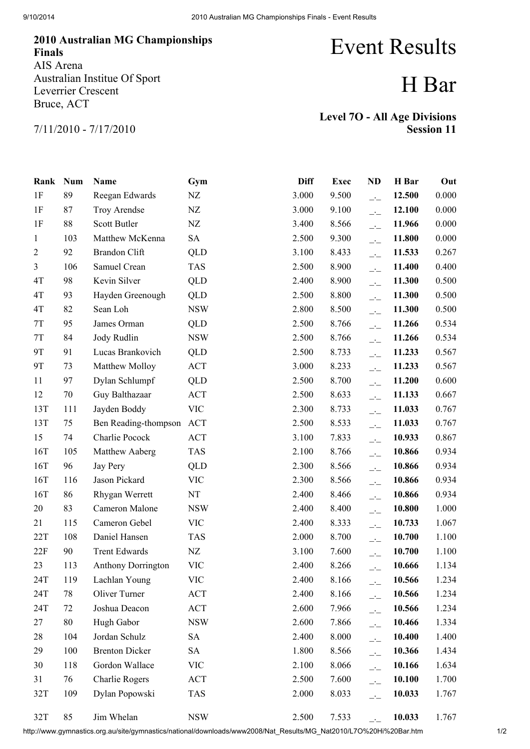## 2010 Australian MG Championships Finals AIS Arena Australian Institue Of Sport Leverrier Crescent Bruce, ACT

## Event Results

## H Bar

7/11/2010 - 7/17/2010

Level 7O - All Age Divisions Session 11

| Rank           | <b>Num</b> | Name                      | Gym        | <b>Diff</b> | <b>Exec</b> | <b>ND</b>                | H Bar  | Out   |
|----------------|------------|---------------------------|------------|-------------|-------------|--------------------------|--------|-------|
| 1F             | 89         | Reegan Edwards            | NZ         | 3.000       | 9.500       | $-1$                     | 12.500 | 0.000 |
| 1F             | 87         | Troy Arendse              | NZ         | 3.000       | 9.100       | $\overline{\phantom{a}}$ | 12.100 | 0.000 |
| 1F             | 88         | Scott Butler              | NZ         | 3.400       | 8.566       | $\overline{\phantom{a}}$ | 11.966 | 0.000 |
| 1              | 103        | Matthew McKenna           | <b>SA</b>  | 2.500       | 9.300       | $\overline{\phantom{a}}$ | 11.800 | 0.000 |
| $\overline{2}$ | 92         | Brandon Clift             | <b>QLD</b> | 3.100       | 8.433       | $\overline{\phantom{a}}$ | 11.533 | 0.267 |
| $\overline{3}$ | 106        | Samuel Crean              | <b>TAS</b> | 2.500       | 8.900       | $\overline{\phantom{a}}$ | 11.400 | 0.400 |
| 4T             | 98         | Kevin Silver              | QLD        | 2.400       | 8.900       | $\overline{\phantom{a}}$ | 11.300 | 0.500 |
| 4T             | 93         | Hayden Greenough          | <b>QLD</b> | 2.500       | 8.800       | $\overline{\phantom{a}}$ | 11.300 | 0.500 |
| 4T             | 82         | Sean Loh                  | <b>NSW</b> | 2.800       | 8.500       | $\overline{\phantom{a}}$ | 11.300 | 0.500 |
| 7T             | 95         | James Orman               | QLD        | 2.500       | 8.766       | $\overline{\phantom{a}}$ | 11.266 | 0.534 |
| $7\mathrm{T}$  | 84         | Jody Rudlin               | <b>NSW</b> | 2.500       | 8.766       | $\overline{\phantom{a}}$ | 11.266 | 0.534 |
| <b>9T</b>      | 91         | Lucas Brankovich          | QLD        | 2.500       | 8.733       | $\overline{\phantom{a}}$ | 11.233 | 0.567 |
| <b>9T</b>      | 73         | Matthew Molloy            | <b>ACT</b> | 3.000       | 8.233       | $\overline{\phantom{a}}$ | 11.233 | 0.567 |
| 11             | 97         | Dylan Schlumpf            | QLD        | 2.500       | 8.700       | $\overline{\phantom{a}}$ | 11.200 | 0.600 |
| 12             | 70         | Guy Balthazaar            | <b>ACT</b> | 2.500       | 8.633       | $\overline{\phantom{a}}$ | 11.133 | 0.667 |
| 13T            | 111        | Jayden Boddy              | <b>VIC</b> | 2.300       | 8.733       | $\overline{\phantom{a}}$ | 11.033 | 0.767 |
| 13T            | 75         | Ben Reading-thompson      | <b>ACT</b> | 2.500       | 8.533       | $\overline{\phantom{a}}$ | 11.033 | 0.767 |
| 15             | 74         | Charlie Pocock            | <b>ACT</b> | 3.100       | 7.833       | $\overline{\phantom{a}}$ | 10.933 | 0.867 |
| 16T            | 105        | Matthew Aaberg            | <b>TAS</b> | 2.100       | 8.766       | $\overline{\phantom{a}}$ | 10.866 | 0.934 |
| 16T            | 96         | Jay Pery                  | QLD        | 2.300       | 8.566       | $\overline{\phantom{a}}$ | 10.866 | 0.934 |
| 16T            | 116        | Jason Pickard             | <b>VIC</b> | 2.300       | 8.566       | $\overline{\phantom{a}}$ | 10.866 | 0.934 |
| 16T            | 86         | Rhygan Werrett            | NT         | 2.400       | 8.466       | $\overline{\phantom{a}}$ | 10.866 | 0.934 |
| 20             | 83         | Cameron Malone            | <b>NSW</b> | 2.400       | 8.400       | $\overline{\phantom{a}}$ | 10.800 | 1.000 |
| 21             | 115        | Cameron Gebel             | <b>VIC</b> | 2.400       | 8.333       | $\overline{\phantom{a}}$ | 10.733 | 1.067 |
| 22T            | 108        | Daniel Hansen             | <b>TAS</b> | 2.000       | 8.700       | $\overline{\phantom{a}}$ | 10.700 | 1.100 |
| 22F            | 90         | <b>Trent Edwards</b>      | NZ         | 3.100       | 7.600       | $\overline{\phantom{a}}$ | 10.700 | 1.100 |
| 23             | 113        | <b>Anthony Dorrington</b> | <b>VIC</b> | 2.400       | 8.266       | $-1$                     | 10.666 | 1.134 |
| 24T            | 119        | Lachlan Young             | VIC        | 2.400       | 8.166       | $\overline{\phantom{a}}$ | 10.566 | 1.234 |
| 24T            | 78         | Oliver Turner             | <b>ACT</b> | 2.400       | 8.166       | $\overline{\phantom{a}}$ | 10.566 | 1.234 |
| 24T            | 72         | Joshua Deacon             | ACT        | 2.600       | 7.966       | $\overline{\phantom{a}}$ | 10.566 | 1.234 |
| 27             | 80         | Hugh Gabor                | <b>NSW</b> | 2.600       | 7.866       | $\overline{\phantom{a}}$ | 10.466 | 1.334 |
| 28             | 104        | Jordan Schulz             | <b>SA</b>  | 2.400       | 8.000       | $\overline{\phantom{a}}$ | 10.400 | 1.400 |
| 29             | 100        | <b>Brenton Dicker</b>     | SA         | 1.800       | 8.566       | $-1$                     | 10.366 | 1.434 |
| 30             | 118        | Gordon Wallace            | <b>VIC</b> | 2.100       | 8.066       | $\overline{\phantom{a}}$ | 10.166 | 1.634 |
| 31             | 76         | Charlie Rogers            | <b>ACT</b> | 2.500       | 7.600       | $\overline{\phantom{a}}$ | 10.100 | 1.700 |
| 32T            | 109        | Dylan Popowski            | <b>TAS</b> | 2.000       | 8.033       | $-$                      | 10.033 | 1.767 |
| 32T            | 85         | Jim Whelan                | <b>NSW</b> | 2.500       | 7.533       |                          | 10.033 | 1.767 |

http://www.gymnastics.org.au/site/gymnastics/national/downloads/www2008/Nat\_Results/MG\_Nat2010/L7O%20Hi%20Bar.htm 1/2